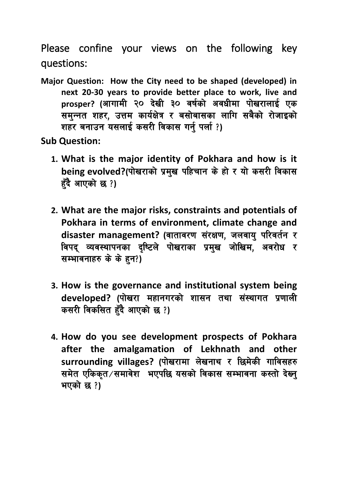Please confine your views on the following key questions:

**Major Question: How the City need to be shaped (developed) in next 20-30 years to provide better place to work, live and**  prosper? (आगामी २० देखी ३० वर्षको अवधीमा पोखरालाई एक समन्नत शहर, उत्तम कार्यक्षेत्र र बसोबासका लागि सबैको रोजाइको शहर बनाउन यसलाई कसरी विकास गर्नु पर्ला?)

**Sub Question:**

- **1. What is the major identity of Pokhara and how is it**  being evolved?(पोखराको प्रमुख पहिचान के हो र यो कसरी विकास हुँदै आएको छ ?)
- **2. What are the major risks, constraints and potentials of Pokhara in terms of environment, climate change and**  disaster management? (वातावरण संरक्षण, जलवाय परिवर्तन र विपद व्यवस्थापनका दृष्टिले पोखराका प्रमुख जोखिम, अवरोध र सम्भावनाहरु के के हन?)
- **3. How is the governance and institutional system being developed? (पोखरा महानगरको शासन तथा संस्थागत प्रणाली कसरी विकसित हँदै आएको छ?**)
- **4. How do you see development prospects of Pokhara after the amalgamation of Lekhnath and other**  surrounding villages? (पोखरामा लेखनाथ र छिमेकी गाविसहरु समेत एकिकृत⁄समावेश भएपछि यसको विकास सम्भावना कस्तो देख्नु भएको छ ?)